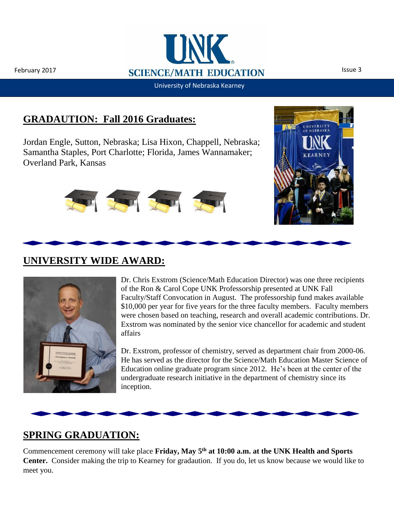

University of Nebraska Kearney

## **GRADAUTION: Fall 2016 Graduates:**

Jordan Engle, Sutton, Nebraska; Lisa Hixon, Chappell, Nebraska; Samantha Staples, Port Charlotte; Florida, James Wannamaker; Overland Park, Kansas









Dr. Chris Exstrom (Science/Math Education Director) was one three recipients of the Ron & Carol Cope UNK Professorship presented at UNK Fall Faculty/Staff Convocation in August. The professorship fund makes available \$10,000 per year for five years for the three faculty members. Faculty members were chosen based on teaching, research and overall academic contributions. Dr. Exstrom was nominated by the senior vice chancellor for academic and student affairs

Dr. Exstrom, professor of chemistry, served as department chair from 2000-06. He has served as the director for the Science/Math Education Master Science of Education online graduate program since 2012. He's been at the center of the undergraduate research initiative in the department of chemistry since its inception.



### **SPRING GRADUATION:**

Commencement ceremony will take place **Friday, May 5th at 10:00 a.m. at the UNK Health and Sports Center.** Consider making the trip to Kearney for gradaution. If you do, let us know because we would like to meet you.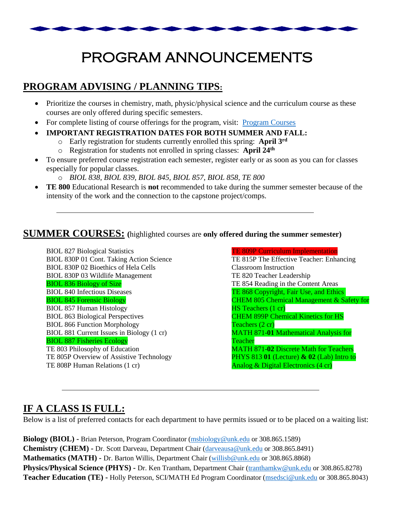

# PROGRAM ANNOUNCEMENTS

## **PROGRAM ADVISING / PLANNING TIPS:**

- Prioritize the courses in chemistry, math, physic/physical science and the curriculum course as these courses are only offered during specific semesters.
- For complete listing of course offerings for the program, visit: [Program Courses](http://www.unk.edu/academics/science-math-ed/program-courses.php)
- **IMPORTANT REGISTRATION DATES FOR BOTH SUMMER AND FALL:**
	- o Early registration for students currently enrolled this spring: **April 3rd**
	- o Registration for students not enrolled in spring classes: **April 24th**
- To ensure preferred course registration each semester, register early or as soon as you can for classes especially for popular classes.
	- o *BIOL 838, BIOL 839, BIOL 845, BIOL 857, BIOL 858, TE 800*
- **TE 800** Educational Research is **not** recommended to take during the summer semester because of the intensity of the work and the connection to the capstone project/comps.

#### **SUMMER COURSES: (**highlighted courses are **only offered during the summer semester)**

BIOL 827 [Biological Statistics](http://www.unk.edu/academics/science-math-ed/_files/biol827syll.pdf) BIOL 830P 01 Cont. Taking Action Science BIOL 830P 02 Bioethics of Hela Cells BIOL 830P 03 Wildlife Management BIOL 836 Biology of Size BIOL 840 Infectious Diseases BIOL 845 [Forensic Biology](http://www.unk.edu/academics/science-math-ed/_files/biol845syll.pdf) BIOL 857 Human Histology BIOL 863 [Biological Perspectives](http://www.unk.edu/academics/science-math-ed/_files/biol863syll.pdf) BIOL 866 Function Morphology BIOL 881 Current Issues in Biology (1 cr) BIOL 887 [Fisheries Ecology](http://www.unk.edu/academics/science-math-ed/_files/biol887syll.pdf) TE 803 Philosophy [of Education](http://www.unk.edu/academics/science-math-ed/_files/te803syll.pdf) TE 805P [Overview of Assistive Technology](http://www.unk.edu/academics/science-math-ed/_files/te805psyll.pdf) TE 808P [Human Relations](http://www.unk.edu/academics/science-math-ed/_files/te808psyll.pdf) (1 cr)

TE 809P [Curriculum Implementation](http://www.unk.edu/academics/science-math-ed/_files/te809psyll.pdf) TE 815P [The Effective Teacher: Enhancing](http://www.unk.edu/academics/science-math-ed/_files/te815psyll.pdf)  [Classroom Instruction](http://www.unk.edu/academics/science-math-ed/_files/te815psyll.pdf) TE 820 Teacher Leadership TE 854 [Reading in the Content Areas](http://www.unk.edu/academics/science-math-ed/_files/te854syll.pdf) TE 868 Copyright, Fair Use, and Ethics CHEM 805 Chemical Management & Safety for HS Teachers (1 cr) CHEM 899P Chemical Kinetics for HS Teachers (2 cr) MATH 871-**01** Mathematical Analysis for Teacher MATH 871-**02** Discrete Math for Teachers PHYS 813 **01** (Lecture) **& 02** (Lab) Intro to Analog & Digital Electronics (4 cr)

### **IF A CLASS IS FULL:**

Below is a list of preferred contacts for each department to have permits issued or to be placed on a waiting list:

**Biology (BIOL) -** Brian Peterson, Program Coordinator [\(msbiology@unk.edu](mailto:msbiology@unk.edu) or 308.865.1589) **Chemistry (CHEM) -** Dr. Scott Darveau, Department Chair [\(darveausa@unk.edu](mailto:darveausa@unk.edu) or 308.865.8491) **Mathematics (MATH) -** Dr. Barton Willis, Department Chair [\(willisb@unk.edu](mailto:willisb@unk.edu) or 308.865.8868) **Physics/Physical Science (PHYS) -** Dr. Ken Trantham, Department Chair [\(tranthamkw@unk.edu](mailto:tranthamkw@unk.edu) or 308.865.8278) **Teacher Education (TE) -** Holly Peterson, SCI/MATH Ed Program Coordinator [\(msedsci@unk.edu](mailto:msedsci@unk.edu) or 308.865.8043)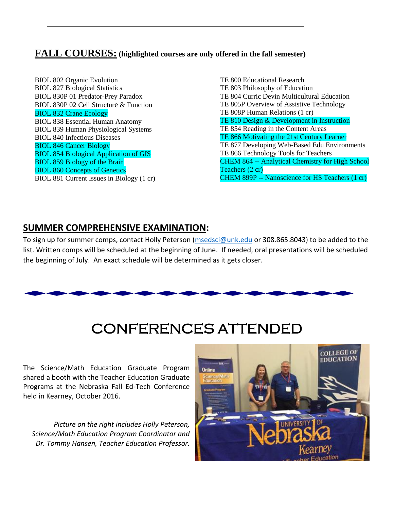#### **FALL COURSES: (highlighted courses are only offered in the fall semester)**

BIOL 802 [Organic Evolution](http://www.unk.edu/academics/science-math-ed/_files/biol802syll.pdf) BIOL 827 [Biological Statistics](http://www.unk.edu/academics/science-math-ed/_files/biol827syll.pdf) BIOL 830P 01 Predator-Prey Paradox BIOL 830P 02 [Cell Structur](http://www.unk.edu/academics/science-math-ed/_files/BIOL%20830P-Cell%20Structure%20and%20Function.pdf)e & Function BIOL 832 [Crane Ecology](http://www.unk.edu/academics/science-math-ed/_files/BIOL%20832%20-%20Crane%20Ecology.pdf) BIOL 838 [Essential Human Anatomy](http://www.unk.edu/academics/science-math-ed/_files/biol838syll.pdf) BIOL 839 [Human Physiological Systems](http://www.unk.edu/academics/science-math-ed/_files/biol839syll.pdf) BIOL 840 [Infectious Diseases](http://www.unk.edu/academics/science-math-ed/_files/biol840syll.pdf) BIOL 846 [Cancer Biology](http://www.unk.edu/academics/science-math-ed/_files/biol840syll.pdf) BIOL 854 [Biological Application of GIS](http://www.unk.edu/academics/science-math-ed/_files/biol854syll.pdf) BIOL 859 [Biology of the Brain](http://www.unk.edu/academics/science-math-ed/_files/BIOL%20859%20-%20Biology%20of%20the%20Brain.pdf) BIOL 860 [Concepts of Genetics](http://www.unk.edu/academics/science-math-ed/_files/biol860syll.pdf) BIOL 881 [Current Issues in Biology](http://www.unk.edu/academics/science-math-ed/_files/biol881syll.pdf) (1 cr) [TE 800 Educational Research](http://www.unk.edu/academics/science-math-ed/_files/te800syll.pdf) TE 803 [Philosophy of Education](http://www.unk.edu/academics/science-math-ed/_files/te803syll.pdf) TE 804 Curric [Devin Multicultural Education](http://www.unk.edu/academics/science-math-ed/_files/te804syll.pdf) TE 805P [Overview of Assistive Technology](http://www.unk.edu/academics/science-math-ed/_files/te805psyll.pdf) TE 808P [Human Relations](http://www.unk.edu/academics/science-math-ed/_files/te808psyll.pdf) (1 cr) TE 810 Design & Development in Instruction TE 854 [Reading in the Content Areas](http://www.unk.edu/academics/science-math-ed/_files/te854syll.pdf) TE 866 Motivating the 21st Century Learner TE 877 Developing Web-Based Edu Environments TE 866 [Technology Tools for Teachers](http://www.unk.edu/academics/science-math-ed/_files/te886psyll.pdf) CHEM 864 -- Analytical Chemistry for High School Teachers (2 cr) CHEM 899P -- Nanoscience for HS Teachers (1 cr)

#### **SUMMER COMPREHENSIVE EXAMINATION:**

To sign up for summer comps, contact Holly Peterson [\(msedsci@unk.edu](mailto:msedsci@unk.edu) or 308.865.8043) to be added to the list. Written comps will be scheduled at the beginning of June. If needed, oral presentations will be scheduled the beginning of July. An exact schedule will be determined as it gets closer.



# CONFERENCES ATTENDED

The Science/Math Education Graduate Program shared a booth with the Teacher Education Graduate Programs at the Nebraska Fall Ed-Tech Conference held in Kearney, October 2016.

*Picture on the right includes Holly Peterson, Science/Math Education Program Coordinator and Dr. Tommy Hansen, Teacher Education Professor.*

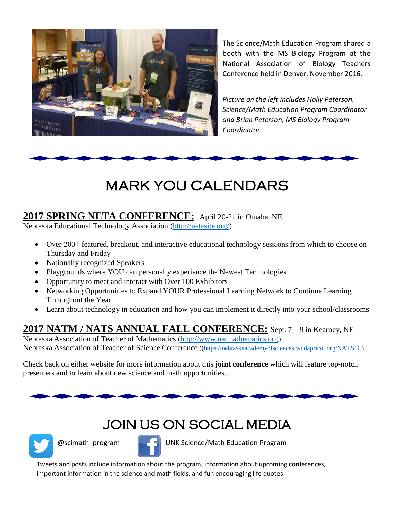

The Science/Math Education Program shared a booth with the MS Biology Program at the National Association of Biology Teachers Conference held in Denver, November 2016.

*Picture on the left includes Holly Peterson, Science/Math Education Program Coordinator and Brian Peterson, MS Biology Program Coordinator.*



Ī

### **2017 SPRING NETA CONFERENCE:** April 20-21 in Omaha, NE

Nebraska Educational Technology Association [\(http://netasite.org/\)](http://netasite.org/)

- Over 200+ featured, breakout, and interactive educational technology sessions from which to choose on Thursday and Friday
- Nationally recognized Speakers
- Playgrounds where YOU can personally experience the Newest Technologies
- Opportunity to meet and interact with Over 100 Exhibitors
- Networking Opportunities to Expand YOUR Professional Learning Network to Continue Learning Throughout the Year
- Learn about technology in education and how you can implement it directly into your school/classrooms

### **2017 NATM / NATS ANNUAL FALL CONFERENCE:** Sept. 7 – 9 in Kearney, NE

Nebraska Association of Teacher of Mathematics [\(http://www.natmathematics.org\)](http://www.natmathematics.org/) Nebraska Association of Teacher of Science Conference ([\(https://nebraskaacademyofsciences.wildapricot.org/NATSFC\)](https://nebraskaacademyofsciences.wildapricot.org/NATSFC)

Check back on either website for more information about this **joint conference** which will feature top-notch presenters and to learn about new science and math opportunities.

# JOIN US ON SOCIAL MEDIA



@scimath\_program UNK Science/Math Education Program

Tweets and posts include information about the program, information about upcoming conferences, important information in the science and math fields, and fun encouraging life quotes.